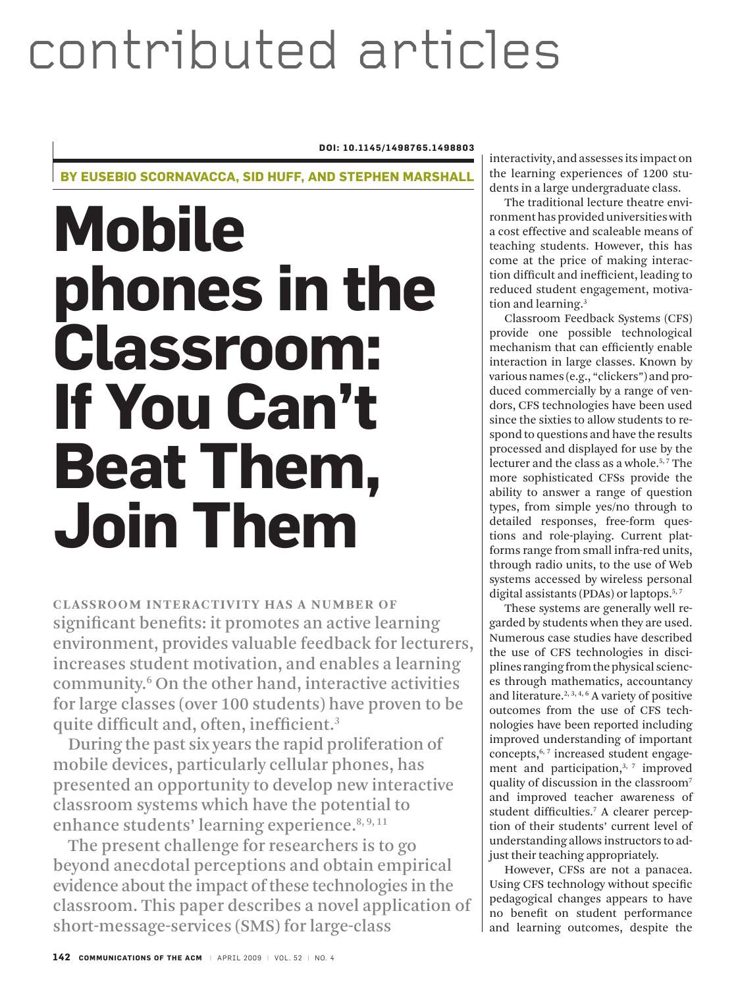# contributed articles

#### **DOI: 10.1145/1498765.1498803**

**BY EUSEBIO SCORNAVACCA, SID HUFF, AND STEPHEN MARSHALL**

# **Mobile phones in the Classroom: If You Can't Beat Them, Join Them**

**CLASSROOM INTERACTIVITY HAS A NUMBER OF** significant benefits: it promotes an active learning environment, provides valuable feedback for lecturers, increases student motivation, and enables a learning community.6 On the other hand, interactive activities for large classes (over 100 students) have proven to be quite difficult and, often, inefficient.3

During the past six years the rapid proliferation of mobile devices, particularly cellular phones, has presented an opportunity to develop new interactive classroom systems which have the potential to enhance students' learning experience.<sup>8, 9, 11</sup>

The present challenge for researchers is to go beyond anecdotal perceptions and obtain empirical evidence about the impact of these technologies in the classroom. This paper describes a novel application of short-message-services (SMS) for large-class

interactivity, and assesses its impact on the learning experiences of 1200 students in a large undergraduate class.

The traditional lecture theatre environment has provided universities with a cost effective and scaleable means of teaching students. However, this has come at the price of making interaction difficult and inefficient, leading to reduced student engagement, motivation and learning.<sup>3</sup>

Classroom Feedback Systems (CFS) provide one possible technological mechanism that can efficiently enable interaction in large classes. Known by various names (e.g., "clickers") and produced commercially by a range of vendors, CFS technologies have been used since the sixties to allow students to respond to questions and have the results processed and displayed for use by the lecturer and the class as a whole.<sup>5,7</sup> The more sophisticated CFSs provide the ability to answer a range of question types, from simple yes/no through to detailed responses, free-form questions and role-playing. Current platforms range from small infra-red units, through radio units, to the use of Web systems accessed by wireless personal digital assistants (PDAs) or laptops.<sup>5,7</sup>

These systems are generally well regarded by students when they are used. Numerous case studies have described the use of CFS technologies in disciplines ranging from the physical sciences through mathematics, accountancy and literature.<sup>2, 3, 4, 6</sup> A variety of positive outcomes from the use of CFS technologies have been reported including improved understanding of important concepts,<sup>6,7</sup> increased student engagement and participation,<sup>3, 7</sup> improved quality of discussion in the classroom7 and improved teacher awareness of student difficulties.<sup>7</sup> A clearer perception of their students' current level of understanding allows instructors to adjust their teaching appropriately.

However, CFSs are not a panacea. Using CFS technology without specific pedagogical changes appears to have no benefit on student performance and learning outcomes, despite the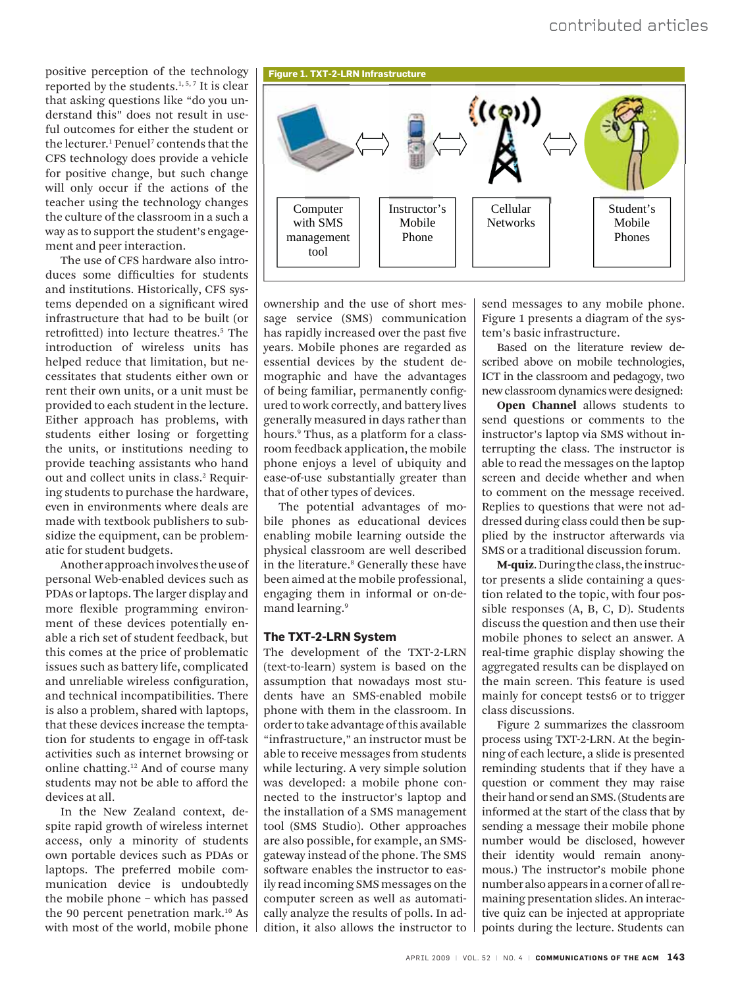positive perception of the technology reported by the students.<sup>1, 5, 7</sup> It is clear that asking questions like "do you understand this" does not result in useful outcomes for either the student or the lecturer.<sup>1</sup> Penuel<sup>7</sup> contends that the CFS technology does provide a vehicle for positive change, but such change will only occur if the actions of the teacher using the technology changes the culture of the classroom in a such a way as to support the student's engagement and peer interaction.

The use of CFS hardware also introduces some difficulties for students and institutions. Historically, CFS systems depended on a significant wired infrastructure that had to be built (or retrofitted) into lecture theatres.<sup>5</sup> The introduction of wireless units has helped reduce that limitation, but necessitates that students either own or rent their own units, or a unit must be provided to each student in the lecture. Either approach has problems, with students either losing or forgetting the units, or institutions needing to provide teaching assistants who hand out and collect units in class.<sup>2</sup> Requiring students to purchase the hardware, even in environments where deals are made with textbook publishers to subsidize the equipment, can be problematic for student budgets.

Another approach involves the use of personal Web-enabled devices such as PDAs or laptops. The larger display and more flexible programming environment of these devices potentially enable a rich set of student feedback, but this comes at the price of problematic issues such as battery life, complicated and unreliable wireless configuration, and technical incompatibilities. There is also a problem, shared with laptops, that these devices increase the temptation for students to engage in off-task activities such as internet browsing or online chatting.12 And of course many students may not be able to afford the devices at all.

In the New Zealand context, despite rapid growth of wireless internet access, only a minority of students own portable devices such as PDAs or laptops. The preferred mobile communication device is undoubtedly the mobile phone – which has passed the 90 percent penetration mark.<sup>10</sup> As with most of the world, mobile phone



ownership and the use of short message service (SMS) communication has rapidly increased over the past five years. Mobile phones are regarded as essential devices by the student demographic and have the advantages of being familiar, permanently configured to work correctly, and battery lives generally measured in days rather than hours.9 Thus, as a platform for a classroom feedback application, the mobile phone enjoys a level of ubiquity and ease-of-use substantially greater than that of other types of devices.

The potential advantages of mobile phones as educational devices enabling mobile learning outside the physical classroom are well described in the literature.8 Generally these have been aimed at the mobile professional, engaging them in informal or on-demand learning.<sup>9</sup>

### **The TXT-2-LRN System**

The development of the TXT-2-LRN (text-to-learn) system is based on the assumption that nowadays most students have an SMS-enabled mobile phone with them in the classroom. In order to take advantage of this available "infrastructure," an instructor must be able to receive messages from students while lecturing. A very simple solution was developed: a mobile phone connected to the instructor's laptop and the installation of a SMS management tool (SMS Studio). Other approaches are also possible, for example, an SMSgateway instead of the phone. The SMS software enables the instructor to easily read incoming SMS messages on the computer screen as well as automatically analyze the results of polls. In addition, it also allows the instructor to send messages to any mobile phone. Figure 1 presents a diagram of the system's basic infrastructure.

Based on the literature review described above on mobile technologies, ICT in the classroom and pedagogy, two new classroom dynamics were designed:

Open Channel allows students to send questions or comments to the instructor's laptop via SMS without interrupting the class. The instructor is able to read the messages on the laptop screen and decide whether and when to comment on the message received. Replies to questions that were not addressed during class could then be supplied by the instructor afterwards via SMS or a traditional discussion forum.

M-quiz. During the class, the instructor presents a slide containing a question related to the topic, with four possible responses (A, B, C, D). Students discuss the question and then use their mobile phones to select an answer. A real-time graphic display showing the aggregated results can be displayed on the main screen. This feature is used mainly for concept tests6 or to trigger class discussions.

Figure 2 summarizes the classroom process using TXT-2-LRN. At the beginning of each lecture, a slide is presented reminding students that if they have a question or comment they may raise their hand or send an SMS. (Students are informed at the start of the class that by sending a message their mobile phone number would be disclosed, however their identity would remain anonymous.) The instructor's mobile phone number also appears in a corner of all remaining presentation slides. An interactive quiz can be injected at appropriate points during the lecture. Students can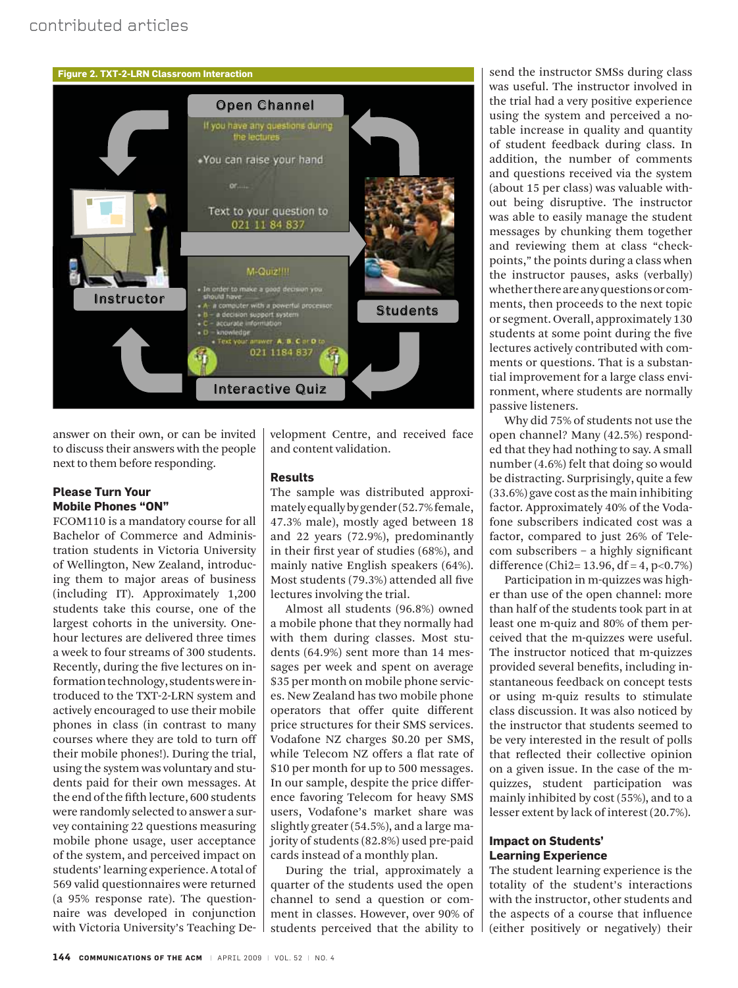

answer on their own, or can be invited to discuss their answers with the people next to them before responding.

# **Please Turn Your Mobile Phones "ON"**

FCOM110 is a mandatory course for all Bachelor of Commerce and Administration students in Victoria University of Wellington, New Zealand, introducing them to major areas of business (including IT). Approximately 1,200 students take this course, one of the largest cohorts in the university. Onehour lectures are delivered three times a week to four streams of 300 students. Recently, during the five lectures on information technology, students were introduced to the TXT-2-LRN system and actively encouraged to use their mobile phones in class (in contrast to many courses where they are told to turn off their mobile phones!). During the trial, using the system was voluntary and students paid for their own messages. At the end of the fifth lecture, 600 students were randomly selected to answer a survey containing 22 questions measuring mobile phone usage, user acceptance of the system, and perceived impact on students' learning experience. A total of 569 valid questionnaires were returned (a 95% response rate). The questionnaire was developed in conjunction with Victoria University's Teaching Development Centre, and received face and content validation.

# **Results**

The sample was distributed approximately equally by gender (52.7% female, 47.3% male), mostly aged between 18 and 22 years (72.9%), predominantly in their first year of studies (68%), and mainly native English speakers (64%). Most students (79.3%) attended all five lectures involving the trial.

Almost all students (96.8%) owned a mobile phone that they normally had with them during classes. Most students (64.9%) sent more than 14 messages per week and spent on average \$35 per month on mobile phone services. New Zealand has two mobile phone operators that offer quite different price structures for their SMS services. Vodafone NZ charges \$0.20 per SMS, while Telecom NZ offers a flat rate of \$10 per month for up to 500 messages. In our sample, despite the price difference favoring Telecom for heavy SMS users, Vodafone's market share was slightly greater (54.5%), and a large majority of students (82.8%) used pre-paid cards instead of a monthly plan.

During the trial, approximately a quarter of the students used the open channel to send a question or comment in classes. However, over 90% of students perceived that the ability to send the instructor SMSs during class was useful. The instructor involved in the trial had a very positive experience using the system and perceived a notable increase in quality and quantity of student feedback during class. In addition, the number of comments and questions received via the system (about 15 per class) was valuable without being disruptive. The instructor was able to easily manage the student messages by chunking them together and reviewing them at class "checkpoints," the points during a class when the instructor pauses, asks (verbally) whether there are any questions or comments, then proceeds to the next topic or segment. Overall, approximately 130 students at some point during the five lectures actively contributed with comments or questions. That is a substantial improvement for a large class environment, where students are normally passive listeners.

Why did 75% of students not use the open channel? Many (42.5%) responded that they had nothing to say. A small number (4.6%) felt that doing so would be distracting. Surprisingly, quite a few (33.6%) gave cost as the main inhibiting factor. Approximately 40% of the Vodafone subscribers indicated cost was a factor, compared to just 26% of Telecom subscribers – a highly significant difference (Chi2= 13.96, df = 4, p<0.7%)

Participation in m-quizzes was higher than use of the open channel: more than half of the students took part in at least one m-quiz and 80% of them perceived that the m-quizzes were useful. The instructor noticed that m-quizzes provided several benefits, including instantaneous feedback on concept tests or using m-quiz results to stimulate class discussion. It was also noticed by the instructor that students seemed to be very interested in the result of polls that reflected their collective opinion on a given issue. In the case of the mquizzes, student participation was mainly inhibited by cost (55%), and to a lesser extent by lack of interest (20.7%).

# **Impact on Students' Learning Experience**

The student learning experience is the totality of the student's interactions with the instructor, other students and the aspects of a course that influence (either positively or negatively) their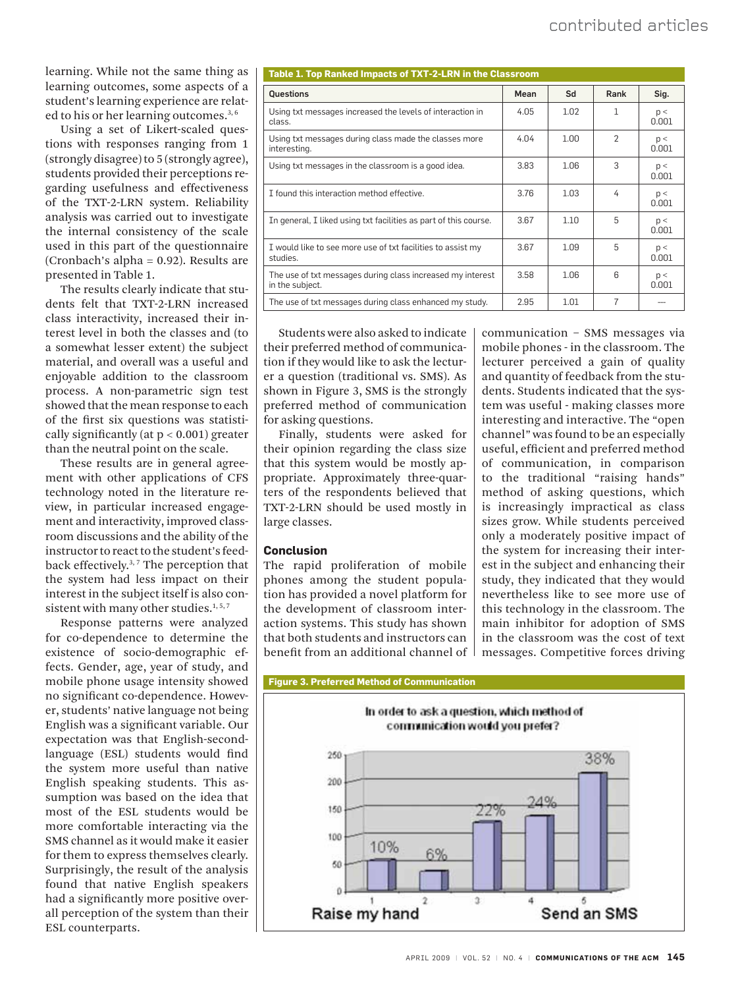learning. While not the same thing as learning outcomes, some aspects of a student's learning experience are related to his or her learning outcomes.3, 6

Using a set of Likert-scaled questions with responses ranging from 1 (strongly disagree) to 5 (strongly agree), students provided their perceptions regarding usefulness and effectiveness of the TXT-2-LRN system. Reliability analysis was carried out to investigate the internal consistency of the scale used in this part of the questionnaire (Cronbach's alpha = 0.92). Results are presented in Table 1.

The results clearly indicate that students felt that TXT-2-LRN increased class interactivity, increased their interest level in both the classes and (to a somewhat lesser extent) the subject material, and overall was a useful and enjoyable addition to the classroom process. A non-parametric sign test showed that the mean response to each of the first six questions was statistically significantly (at  $p < 0.001$ ) greater than the neutral point on the scale.

These results are in general agreement with other applications of CFS technology noted in the literature review, in particular increased engagement and interactivity, improved classroom discussions and the ability of the instructor to react to the student's feedback effectively.3, 7 The perception that the system had less impact on their interest in the subject itself is also consistent with many other studies.<sup>1, 5, 7</sup>

Response patterns were analyzed for co-dependence to determine the existence of socio-demographic effects. Gender, age, year of study, and mobile phone usage intensity showed no significant co-dependence. However, students' native language not being English was a significant variable. Our expectation was that English-secondlanguage (ESL) students would find the system more useful than native English speaking students. This assumption was based on the idea that most of the ESL students would be more comfortable interacting via the SMS channel as it would make it easier for them to express themselves clearly. Surprisingly, the result of the analysis found that native English speakers had a significantly more positive overall perception of the system than their ESL counterparts.

| Table 1. Top Ranked Impacts of TXT-2-LRN in the Classroom                     |      |      |                |              |
|-------------------------------------------------------------------------------|------|------|----------------|--------------|
| <b>Questions</b>                                                              | Mean | Sd   | Rank           | Sig.         |
| Using txt messages increased the levels of interaction in<br>class.           | 4.05 | 1.02 | 1              | p <<br>0.001 |
| Using txt messages during class made the classes more<br>interesting.         | 4.04 | 1.00 | $\mathfrak{D}$ | p<<br>0.001  |
| Using txt messages in the classroom is a good idea.                           | 3.83 | 1.06 | 3              | p <<br>0.001 |
| I found this interaction method effective.                                    | 3.76 | 1.03 | 4              | p <<br>0.001 |
| In general, I liked using txt facilities as part of this course.              | 3.67 | 1.10 | 5              | p <<br>0.001 |
| I would like to see more use of txt facilities to assist my<br>studies.       | 3.67 | 1.09 | 5              | p <<br>0.001 |
| The use of txt messages during class increased my interest<br>in the subject. | 3.58 | 1.06 | 6              | p<<br>0.001  |
| The use of txt messages during class enhanced my study.                       | 2.95 | 1.01 | 7              |              |

Students were also asked to indicate their preferred method of communication if they would like to ask the lecturer a question (traditional vs. SMS). As shown in Figure 3, SMS is the strongly preferred method of communication for asking questions.

Finally, students were asked for their opinion regarding the class size that this system would be mostly appropriate. Approximately three-quarters of the respondents believed that TXT-2-LRN should be used mostly in large classes.

### **Conclusion**

The rapid proliferation of mobile phones among the student population has provided a novel platform for the development of classroom interaction systems. This study has shown that both students and instructors can benefit from an additional channel of communication – SMS messages via mobile phones - in the classroom. The lecturer perceived a gain of quality and quantity of feedback from the students. Students indicated that the system was useful - making classes more interesting and interactive. The "open channel" was found to be an especially useful, efficient and preferred method of communication, in comparison to the traditional "raising hands" method of asking questions, which is increasingly impractical as class sizes grow. While students perceived only a moderately positive impact of the system for increasing their interest in the subject and enhancing their study, they indicated that they would nevertheless like to see more use of this technology in the classroom. The main inhibitor for adoption of SMS in the classroom was the cost of text messages. Competitive forces driving

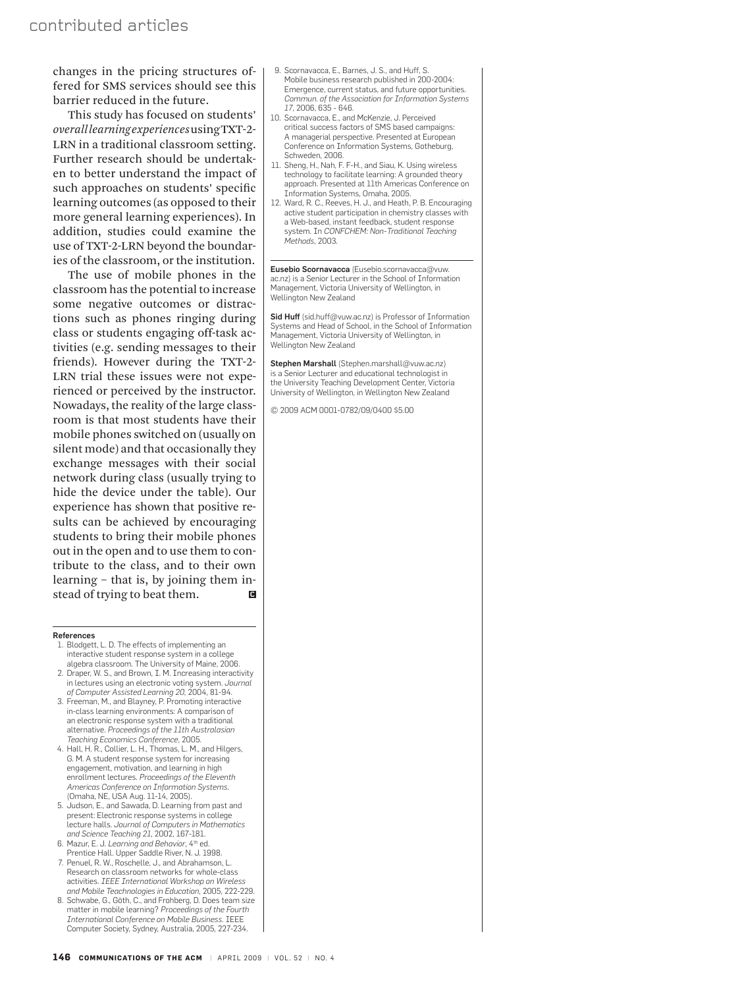changes in the pricing structures offered for SMS services should see this barrier reduced in the future.

This study has focused on students' *overall learning experiences* using TXT-2- LRN in a traditional classroom setting. Further research should be undertaken to better understand the impact of such approaches on students' specific learning outcomes (as opposed to their more general learning experiences). In addition, studies could examine the use of TXT-2-LRN beyond the boundaries of the classroom, or the institution.

The use of mobile phones in the classroom has the potential to increase some negative outcomes or distractions such as phones ringing during class or students engaging off-task activities (e.g. sending messages to their friends). However during the TXT-2- LRN trial these issues were not experienced or perceived by the instructor. Nowadays, the reality of the large classroom is that most students have their mobile phones switched on (usually on silent mode) and that occasionally they exchange messages with their social network during class (usually trying to hide the device under the table). Our experience has shown that positive results can be achieved by encouraging students to bring their mobile phones out in the open and to use them to contribute to the class, and to their own learning – that is, by joining them instead of trying to beat them. a

#### References

- 1. Blodgett, L. D. The effects of implementing an interactive student response system in a college algebra classroom. The University of Maine, 2006.
- 2. Draper, W. S., and Brown, I. M. Increasing interactivity in lectures using an electronic voting system. *Journal of Computer Assisted Learning 20*, 2004, 81-94.
- 3. Freeman, M., and Blayney, P. Promoting interactive in-class learning environments: A comparison of an electronic response system with a traditional alternative. *Proceedings of the 11th Australasian Teaching Economics Conference*, 2005.
- 4. Hall, H. R., Collier, L. H., Thomas, L. M., and Hilgers, G. M. A student response system for increasing engagement, motivation, and learning in high enrollment lectures. *Proceedings of the Eleventh Americas Conference on Information Systems*. (Omaha, NE, USA Aug. 11-14, 2005).
- 5. Judson, E., and Sawada, D. Learning from past and present: Electronic response systems in college lecture halls. *Journal of Computers in Mathematics and Science Teaching 21*, 2002, 167-181.
- 6. Mazur, E. J. *Learning and Behavior*, 4th ed. Prentice Hall. Upper Saddle River, N. J. 1998.
- 7. Penuel, R. W., Roschelle, J., and Abrahamson, L. Research on classroom networks for whole-class activities. *IEEE International Workshop on Wireless and Mobile Teachnologies in Education*, 2005, 222-229.
- 8. Schwabe, G., Göth, C., and Frohberg, D. Does team size matter in mobile learning? *Proceedings of the Fourth International Conference on Mobile Business*. IEEE Computer Society, Sydney, Australia, 2005, 227-234.
- 9. Scornavacca, E., Barnes, J. S., and Huff, S. Mobile business research published in 200-2004: Emergence, current status, and future opportunities. *Commun. of the Association for Information Systems 17*, 2006, 635 - 646.
- 10. Scornavacca, E., and McKenzie, J. Perceived critical success factors of SMS based campaigns: A managerial perspective. Presented at European Conference on Information Systems, Gotheburg, Schweden, 2006.
- 11. Sheng, H., Nah, F. F-H., and Siau, K. Using wireless technology to facilitate learning: A grounded theory approach. Presented at 11th Americas Conference on Information Systems, Omaha, 2005.
- 12. Ward, R. C., Reeves, H. J., and Heath, P. B. Encouraging active student participation in chemistry classes with a Web-based, instant feedback, student response system. In *CONFCHEM: Non-Traditional Teaching Methods,* 2003.

Eusebio Scornavacca (Eusebio.scornavacca@vuw. ac.nz) is a Senior Lecturer in the School of Information Management, Victoria University of Wellington, in Wellington New Zealand

Sid Huff (sid.huff@vuw.ac.nz) is Professor of Information Systems and Head of School, in the School of Information Management, Victoria University of Wellington, in Wellington New Zealand

Stephen Marshall (Stephen.marshall@vuw.ac.nz) is a Senior Lecturer and educational technologist in the University Teaching Development Center, Victoria University of Wellington, in Wellington New Zealand

© 2009 ACM 0001-0782/09/0400 \$5.00